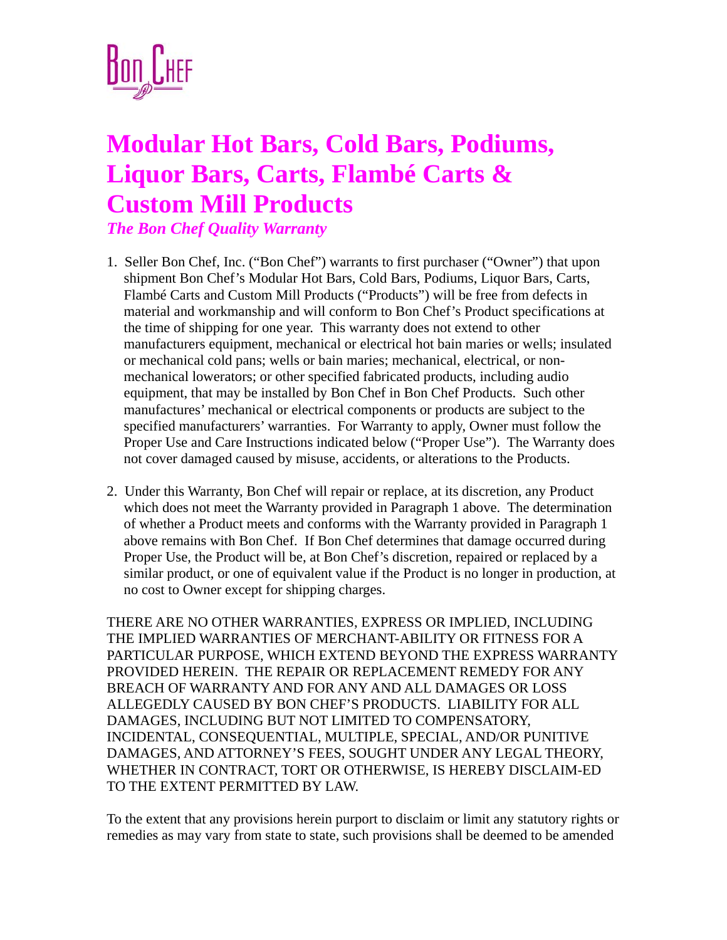

## **Modular Hot Bars, Cold Bars, Podiums, Liquor Bars, Carts, Flambé Carts & Custom Mill Products**

*The Bon Chef Quality Warranty*

- 1. Seller Bon Chef, Inc. ("Bon Chef") warrants to first purchaser ("Owner") that upon shipment Bon Chef's Modular Hot Bars, Cold Bars, Podiums, Liquor Bars, Carts, Flambé Carts and Custom Mill Products ("Products") will be free from defects in material and workmanship and will conform to Bon Chef's Product specifications at the time of shipping for one year. This warranty does not extend to other manufacturers equipment, mechanical or electrical hot bain maries or wells; insulated or mechanical cold pans; wells or bain maries; mechanical, electrical, or nonmechanical lowerators; or other specified fabricated products, including audio equipment, that may be installed by Bon Chef in Bon Chef Products. Such other manufactures' mechanical or electrical components or products are subject to the specified manufacturers' warranties. For Warranty to apply, Owner must follow the Proper Use and Care Instructions indicated below ("Proper Use"). The Warranty does not cover damaged caused by misuse, accidents, or alterations to the Products.
- 2. Under this Warranty, Bon Chef will repair or replace, at its discretion, any Product which does not meet the Warranty provided in Paragraph 1 above. The determination of whether a Product meets and conforms with the Warranty provided in Paragraph 1 above remains with Bon Chef. If Bon Chef determines that damage occurred during Proper Use, the Product will be, at Bon Chef's discretion, repaired or replaced by a similar product, or one of equivalent value if the Product is no longer in production, at no cost to Owner except for shipping charges.

THERE ARE NO OTHER WARRANTIES, EXPRESS OR IMPLIED, INCLUDING THE IMPLIED WARRANTIES OF MERCHANT-ABILITY OR FITNESS FOR A PARTICULAR PURPOSE, WHICH EXTEND BEYOND THE EXPRESS WARRANTY PROVIDED HEREIN. THE REPAIR OR REPLACEMENT REMEDY FOR ANY BREACH OF WARRANTY AND FOR ANY AND ALL DAMAGES OR LOSS ALLEGEDLY CAUSED BY BON CHEF'S PRODUCTS. LIABILITY FOR ALL DAMAGES, INCLUDING BUT NOT LIMITED TO COMPENSATORY, INCIDENTAL, CONSEQUENTIAL, MULTIPLE, SPECIAL, AND/OR PUNITIVE DAMAGES, AND ATTORNEY'S FEES, SOUGHT UNDER ANY LEGAL THEORY, WHETHER IN CONTRACT, TORT OR OTHERWISE, IS HEREBY DISCLAIM-ED TO THE EXTENT PERMITTED BY LAW.

To the extent that any provisions herein purport to disclaim or limit any statutory rights or remedies as may vary from state to state, such provisions shall be deemed to be amended